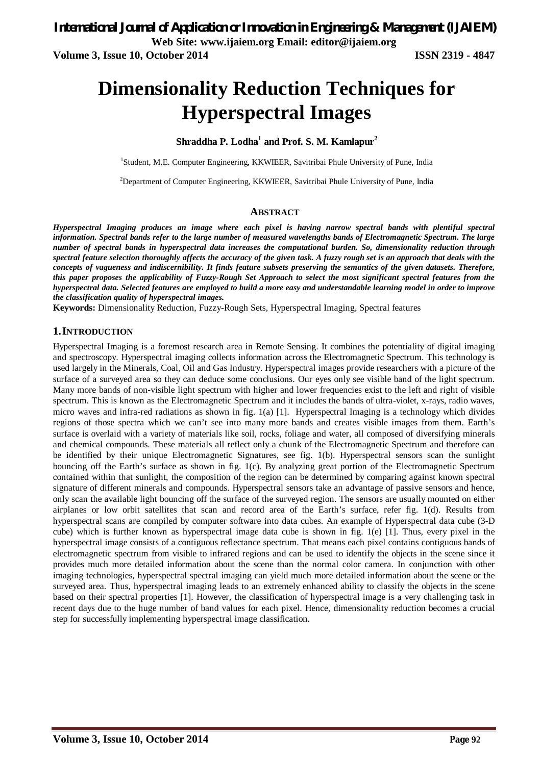**Volume 3, Issue 10, October 2014 ISSN 2319 - 4847**

# **Dimensionality Reduction Techniques for Hyperspectral Images**

#### **Shraddha P. Lodha<sup>1</sup> and Prof. S. M. Kamlapur<sup>2</sup>**

<sup>1</sup>Student, M.E. Computer Engineering, KKWIEER, Savitribai Phule University of Pune, India

 $2$ Department of Computer Engineering, KKWIEER, Savitribai Phule University of Pune, India

#### **ABSTRACT**

*Hyperspectral Imaging produces an image where each pixel is having narrow spectral bands with plentiful spectral information. Spectral bands refer to the large number of measured wavelengths bands of Electromagnetic Spectrum. The large number of spectral bands in hyperspectral data increases the computational burden. So, dimensionality reduction through spectral feature selection thoroughly affects the accuracy of the given task. A fuzzy rough set is an approach that deals with the concepts of vagueness and indiscernibility. It finds feature subsets preserving the semantics of the given datasets. Therefore, this paper proposes the applicability of Fuzzy-Rough Set Approach to select the most significant spectral features from the hyperspectral data. Selected features are employed to build a more easy and understandable learning model in order to improve the classification quality of hyperspectral images.*

**Keywords:** Dimensionality Reduction, Fuzzy-Rough Sets, Hyperspectral Imaging, Spectral features

#### **1.INTRODUCTION**

Hyperspectral Imaging is a foremost research area in Remote Sensing. It combines the potentiality of digital imaging and spectroscopy. Hyperspectral imaging collects information across the Electromagnetic Spectrum. This technology is used largely in the Minerals, Coal, Oil and Gas Industry. Hyperspectral images provide researchers with a picture of the surface of a surveyed area so they can deduce some conclusions. Our eyes only see visible band of the light spectrum. Many more bands of non-visible light spectrum with higher and lower frequencies exist to the left and right of visible spectrum. This is known as the Electromagnetic Spectrum and it includes the bands of ultra-violet, x-rays, radio waves, micro waves and infra-red radiations as shown in fig. 1(a) [1]. Hyperspectral Imaging is a technology which divides regions of those spectra which we can't see into many more bands and creates visible images from them. Earth's surface is overlaid with a variety of materials like soil, rocks, foliage and water, all composed of diversifying minerals and chemical compounds. These materials all reflect only a chunk of the Electromagnetic Spectrum and therefore can be identified by their unique Electromagnetic Signatures, see fig. 1(b). Hyperspectral sensors scan the sunlight bouncing off the Earth's surface as shown in fig. 1(c). By analyzing great portion of the Electromagnetic Spectrum contained within that sunlight, the composition of the region can be determined by comparing against known spectral signature of different minerals and compounds. Hyperspectral sensors take an advantage of passive sensors and hence, only scan the available light bouncing off the surface of the surveyed region. The sensors are usually mounted on either airplanes or low orbit satellites that scan and record area of the Earth's surface, refer fig. 1(d). Results from hyperspectral scans are compiled by computer software into data cubes. An example of Hyperspectral data cube (3-D cube) which is further known as hyperspectral image data cube is shown in fig. 1(e) [1]. Thus, every pixel in the hyperspectral image consists of a contiguous reflectance spectrum. That means each pixel contains contiguous bands of electromagnetic spectrum from visible to infrared regions and can be used to identify the objects in the scene since it provides much more detailed information about the scene than the normal color camera. In conjunction with other imaging technologies, hyperspectral spectral imaging can yield much more detailed information about the scene or the surveyed area. Thus, hyperspectral imaging leads to an extremely enhanced ability to classify the objects in the scene based on their spectral properties [1]. However, the classification of hyperspectral image is a very challenging task in recent days due to the huge number of band values for each pixel. Hence, dimensionality reduction becomes a crucial step for successfully implementing hyperspectral image classification.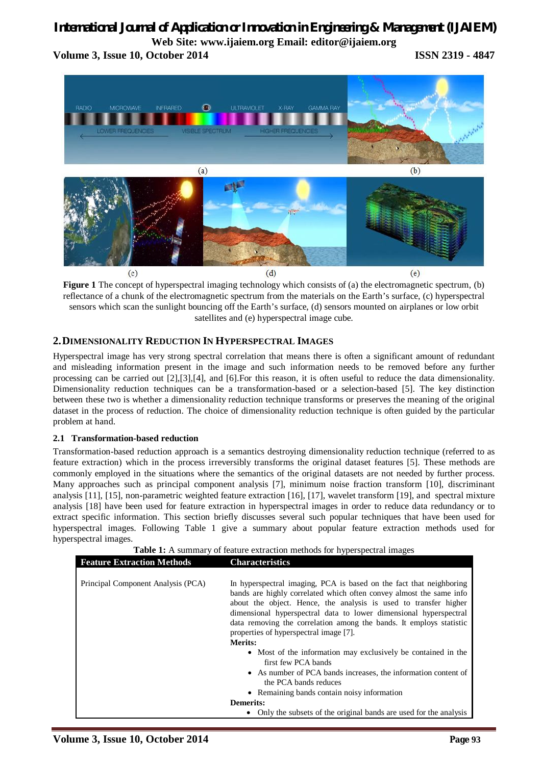## *International Journal of Application or Innovation in Engineering & Management (IJAIEM)*

**Web Site: www.ijaiem.org Email: editor@ijaiem.org Volume 3, Issue 10, October 2014 ISSN 2319 - 4847**



**Figure 1** The concept of hyperspectral imaging technology which consists of (a) the electromagnetic spectrum, (b) reflectance of a chunk of the electromagnetic spectrum from the materials on the Earth's surface, (c) hyperspectral sensors which scan the sunlight bouncing off the Earth's surface, (d) sensors mounted on airplanes or low orbit satellites and (e) hyperspectral image cube.

#### **2.DIMENSIONALITY REDUCTION IN HYPERSPECTRAL IMAGES**

Hyperspectral image has very strong spectral correlation that means there is often a significant amount of redundant and misleading information present in the image and such information needs to be removed before any further processing can be carried out [2],[3],[4], and [6].For this reason, it is often useful to reduce the data dimensionality. Dimensionality reduction techniques can be a transformation-based or a selection-based [5]. The key distinction between these two is whether a dimensionality reduction technique transforms or preserves the meaning of the original dataset in the process of reduction. The choice of dimensionality reduction technique is often guided by the particular problem at hand.

#### **2.1 Transformation-based reduction**

Transformation-based reduction approach is a semantics destroying dimensionality reduction technique (referred to as feature extraction) which in the process irreversibly transforms the original dataset features [5]. These methods are commonly employed in the situations where the semantics of the original datasets are not needed by further process. Many approaches such as principal component analysis [7], minimum noise fraction transform [10], discriminant analysis [11], [15], non-parametric weighted feature extraction [16], [17], wavelet transform [19], and spectral mixture analysis [18] have been used for feature extraction in hyperspectral images in order to reduce data redundancy or to extract specific information. This section briefly discusses several such popular techniques that have been used for hyperspectral images. Following Table 1 give a summary about popular feature extraction methods used for hyperspectral images.

| <b>Table 1:</b> A summary of feature extraction methods for hyperspectral images |                                                                                                                                                                                                                                                                                                                                                                                                                        |
|----------------------------------------------------------------------------------|------------------------------------------------------------------------------------------------------------------------------------------------------------------------------------------------------------------------------------------------------------------------------------------------------------------------------------------------------------------------------------------------------------------------|
| <b>Feature Extraction Methods</b>                                                | <b>Characteristics</b>                                                                                                                                                                                                                                                                                                                                                                                                 |
|                                                                                  |                                                                                                                                                                                                                                                                                                                                                                                                                        |
| Principal Component Analysis (PCA)                                               | In hyperspectral imaging, PCA is based on the fact that neighboring<br>bands are highly correlated which often convey almost the same info<br>about the object. Hence, the analysis is used to transfer higher<br>dimensional hyperspectral data to lower dimensional hyperspectral<br>data removing the correlation among the bands. It employs statistic<br>properties of hyperspectral image [7].<br><b>Merits:</b> |
|                                                                                  | • Most of the information may exclusively be contained in the<br>first few PCA bands                                                                                                                                                                                                                                                                                                                                   |
|                                                                                  | • As number of PCA bands increases, the information content of<br>the PCA bands reduces                                                                                                                                                                                                                                                                                                                                |
|                                                                                  | • Remaining bands contain noisy information                                                                                                                                                                                                                                                                                                                                                                            |
|                                                                                  | <b>Demerits:</b>                                                                                                                                                                                                                                                                                                                                                                                                       |
|                                                                                  | Only the subsets of the original bands are used for the analysis                                                                                                                                                                                                                                                                                                                                                       |

**Table 1:** A summary of feature extraction methods for hyperspectral images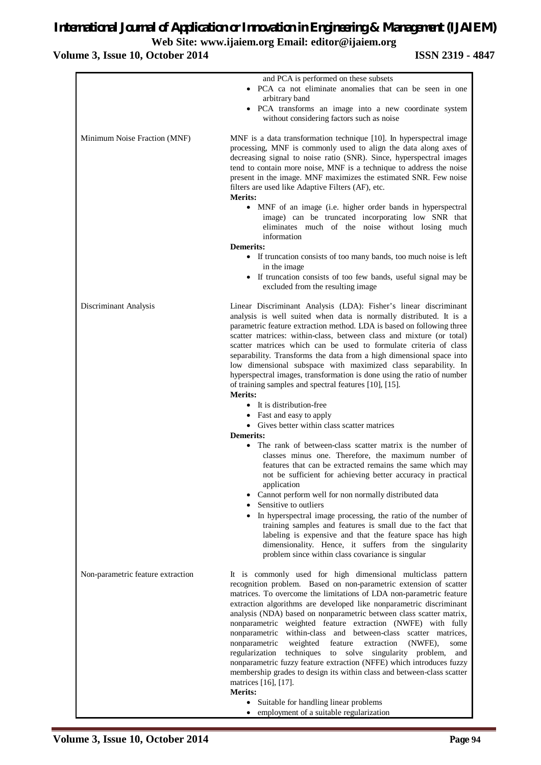#### **Volume 3, Issue 10, October 2014 ISSN 2319 - 4847**

|                                   | and PCA is performed on these subsets                                                                                                                                                                                                                                                                                                                                                                                                                                                                                                                                                                                                                                                                                                                                                                                                                                                |
|-----------------------------------|--------------------------------------------------------------------------------------------------------------------------------------------------------------------------------------------------------------------------------------------------------------------------------------------------------------------------------------------------------------------------------------------------------------------------------------------------------------------------------------------------------------------------------------------------------------------------------------------------------------------------------------------------------------------------------------------------------------------------------------------------------------------------------------------------------------------------------------------------------------------------------------|
|                                   | • PCA ca not eliminate anomalies that can be seen in one<br>arbitrary band                                                                                                                                                                                                                                                                                                                                                                                                                                                                                                                                                                                                                                                                                                                                                                                                           |
|                                   | · PCA transforms an image into a new coordinate system<br>without considering factors such as noise                                                                                                                                                                                                                                                                                                                                                                                                                                                                                                                                                                                                                                                                                                                                                                                  |
| Minimum Noise Fraction (MNF)      | MNF is a data transformation technique [10]. In hyperspectral image<br>processing, MNF is commonly used to align the data along axes of<br>decreasing signal to noise ratio (SNR). Since, hyperspectral images<br>tend to contain more noise, MNF is a technique to address the noise<br>present in the image. MNF maximizes the estimated SNR. Few noise<br>filters are used like Adaptive Filters (AF), etc.<br><b>Merits:</b>                                                                                                                                                                                                                                                                                                                                                                                                                                                     |
|                                   | • MNF of an image (i.e. higher order bands in hyperspectral<br>image) can be truncated incorporating low SNR that<br>eliminates much of the noise without losing much<br>information                                                                                                                                                                                                                                                                                                                                                                                                                                                                                                                                                                                                                                                                                                 |
|                                   | <b>Demerits:</b><br>• If truncation consists of too many bands, too much noise is left<br>in the image                                                                                                                                                                                                                                                                                                                                                                                                                                                                                                                                                                                                                                                                                                                                                                               |
|                                   | • If truncation consists of too few bands, useful signal may be<br>excluded from the resulting image                                                                                                                                                                                                                                                                                                                                                                                                                                                                                                                                                                                                                                                                                                                                                                                 |
| Discriminant Analysis             | Linear Discriminant Analysis (LDA): Fisher's linear discriminant<br>analysis is well suited when data is normally distributed. It is a<br>parametric feature extraction method. LDA is based on following three<br>scatter matrices: within-class, between class and mixture (or total)<br>scatter matrices which can be used to formulate criteria of class<br>separability. Transforms the data from a high dimensional space into<br>low dimensional subspace with maximized class separability. In<br>hyperspectral images, transformation is done using the ratio of number<br>of training samples and spectral features [10], [15].<br><b>Merits:</b>                                                                                                                                                                                                                          |
|                                   | • It is distribution-free                                                                                                                                                                                                                                                                                                                                                                                                                                                                                                                                                                                                                                                                                                                                                                                                                                                            |
|                                   | • Fast and easy to apply                                                                                                                                                                                                                                                                                                                                                                                                                                                                                                                                                                                                                                                                                                                                                                                                                                                             |
|                                   | • Gives better within class scatter matrices<br><b>Demerits:</b>                                                                                                                                                                                                                                                                                                                                                                                                                                                                                                                                                                                                                                                                                                                                                                                                                     |
|                                   | • The rank of between-class scatter matrix is the number of<br>classes minus one. Therefore, the maximum number of<br>features that can be extracted remains the same which may<br>not be sufficient for achieving better accuracy in practical<br>application                                                                                                                                                                                                                                                                                                                                                                                                                                                                                                                                                                                                                       |
|                                   | Cannot perform well for non normally distributed data<br>Sensitive to outliers                                                                                                                                                                                                                                                                                                                                                                                                                                                                                                                                                                                                                                                                                                                                                                                                       |
|                                   | In hyperspectral image processing, the ratio of the number of<br>training samples and features is small due to the fact that<br>labeling is expensive and that the feature space has high<br>dimensionality. Hence, it suffers from the singularity<br>problem since within class covariance is singular                                                                                                                                                                                                                                                                                                                                                                                                                                                                                                                                                                             |
| Non-parametric feature extraction | It is commonly used for high dimensional multiclass pattern<br>recognition problem. Based on non-parametric extension of scatter<br>matrices. To overcome the limitations of LDA non-parametric feature<br>extraction algorithms are developed like nonparametric discriminant<br>analysis (NDA) based on nonparametric between class scatter matrix,<br>nonparametric weighted feature extraction (NWFE) with fully<br>within-class and between-class scatter matrices,<br>nonparametric<br>nonparametric<br>weighted<br>feature<br>extraction<br>(NWFE),<br>some<br>regularization<br>techniques<br>to solve<br>singularity problem,<br>and<br>nonparametric fuzzy feature extraction (NFFE) which introduces fuzzy<br>membership grades to design its within class and between-class scatter<br>matrices [16], [17].<br><b>Merits:</b><br>• Suitable for handling linear problems |
|                                   | employment of a suitable regularization<br>$\bullet$                                                                                                                                                                                                                                                                                                                                                                                                                                                                                                                                                                                                                                                                                                                                                                                                                                 |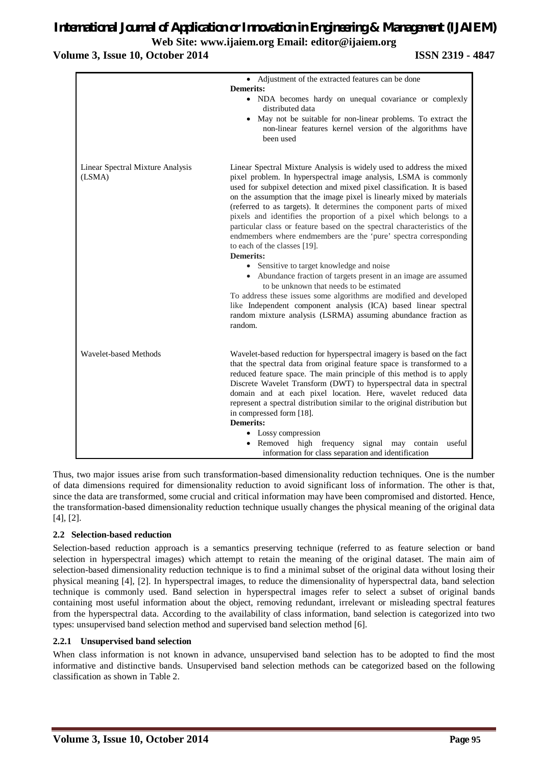**Volume 3, Issue 10, October 2014 ISSN 2319 - 4847**

|                                            | • Adjustment of the extracted features can be done<br><b>Demerits:</b><br>• NDA becomes hardy on unequal covariance or complexly<br>distributed data<br>• May not be suitable for non-linear problems. To extract the<br>non-linear features kernel version of the algorithms have<br>been used                                                                                                                                                                                                                                                                                                                                                                                                                                                                                                                                                                                                                                                                                                                                  |
|--------------------------------------------|----------------------------------------------------------------------------------------------------------------------------------------------------------------------------------------------------------------------------------------------------------------------------------------------------------------------------------------------------------------------------------------------------------------------------------------------------------------------------------------------------------------------------------------------------------------------------------------------------------------------------------------------------------------------------------------------------------------------------------------------------------------------------------------------------------------------------------------------------------------------------------------------------------------------------------------------------------------------------------------------------------------------------------|
| Linear Spectral Mixture Analysis<br>(LSMA) | Linear Spectral Mixture Analysis is widely used to address the mixed<br>pixel problem. In hyperspectral image analysis, LSMA is commonly<br>used for subpixel detection and mixed pixel classification. It is based<br>on the assumption that the image pixel is linearly mixed by materials<br>(referred to as targets). It determines the component parts of mixed<br>pixels and identifies the proportion of a pixel which belongs to a<br>particular class or feature based on the spectral characteristics of the<br>endmembers where endmembers are the 'pure' spectra corresponding<br>to each of the classes [19].<br><b>Demerits:</b><br>• Sensitive to target knowledge and noise<br>• Abundance fraction of targets present in an image are assumed<br>to be unknown that needs to be estimated<br>To address these issues some algorithms are modified and developed<br>like Independent component analysis (ICA) based linear spectral<br>random mixture analysis (LSRMA) assuming abundance fraction as<br>random. |
| <b>Wavelet-based Methods</b>               | Wavelet-based reduction for hyperspectral imagery is based on the fact<br>that the spectral data from original feature space is transformed to a<br>reduced feature space. The main principle of this method is to apply<br>Discrete Wavelet Transform (DWT) to hyperspectral data in spectral<br>domain and at each pixel location. Here, wavelet reduced data<br>represent a spectral distribution similar to the original distribution but<br>in compressed form [18].<br><b>Demerits:</b><br>• Lossy compression<br>• Removed high frequency signal may contain<br>useful<br>information for class separation and identification                                                                                                                                                                                                                                                                                                                                                                                             |

Thus, two major issues arise from such transformation-based dimensionality reduction techniques. One is the number of data dimensions required for dimensionality reduction to avoid significant loss of information. The other is that, since the data are transformed, some crucial and critical information may have been compromised and distorted. Hence, the transformation-based dimensionality reduction technique usually changes the physical meaning of the original data [4], [2].

#### **2.2 Selection-based reduction**

Selection-based reduction approach is a semantics preserving technique (referred to as feature selection or band selection in hyperspectral images) which attempt to retain the meaning of the original dataset. The main aim of selection-based dimensionality reduction technique is to find a minimal subset of the original data without losing their physical meaning [4], [2]. In hyperspectral images, to reduce the dimensionality of hyperspectral data, band selection technique is commonly used. Band selection in hyperspectral images refer to select a subset of original bands containing most useful information about the object, removing redundant, irrelevant or misleading spectral features from the hyperspectral data. According to the availability of class information, band selection is categorized into two types: unsupervised band selection method and supervised band selection method [6].

#### **2.2.1 Unsupervised band selection**

When class information is not known in advance, unsupervised band selection has to be adopted to find the most informative and distinctive bands. Unsupervised band selection methods can be categorized based on the following classification as shown in Table 2.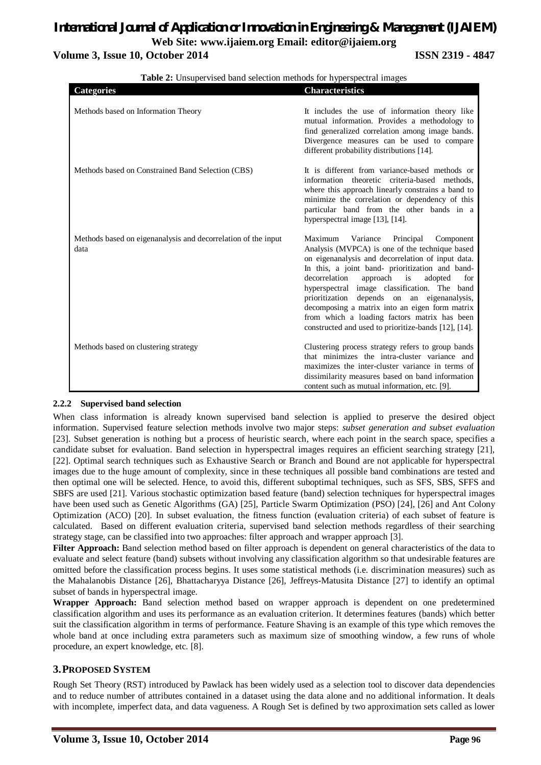#### **Volume 3, Issue 10, October 2014 ISSN 2319 - 4847**

| <b>Categories</b>                                                     | <b>Characteristics</b>                                                                                                                                                                                                                                                                                                                                                                                                                                                                                             |
|-----------------------------------------------------------------------|--------------------------------------------------------------------------------------------------------------------------------------------------------------------------------------------------------------------------------------------------------------------------------------------------------------------------------------------------------------------------------------------------------------------------------------------------------------------------------------------------------------------|
| Methods based on Information Theory                                   | It includes the use of information theory like<br>mutual information. Provides a methodology to<br>find generalized correlation among image bands.<br>Divergence measures can be used to compare<br>different probability distributions [14].                                                                                                                                                                                                                                                                      |
| Methods based on Constrained Band Selection (CBS)                     | It is different from variance-based methods or<br>information theoretic criteria-based methods.<br>where this approach linearly constrains a band to<br>minimize the correlation or dependency of this<br>particular band from the other bands in a<br>hyperspectral image [13], [14].                                                                                                                                                                                                                             |
| Methods based on eigenanalysis and decorrelation of the input<br>data | Maximum Variance<br>Principal<br>Component<br>Analysis (MVPCA) is one of the technique based<br>on eigenanalysis and decorrelation of input data.<br>In this, a joint band- prioritization and band-<br>decorrelation<br>approach<br>is<br>adopted<br>for<br>hyperspectral image classification. The band<br>prioritization depends on an eigenanalysis,<br>decomposing a matrix into an eigen form matrix<br>from which a loading factors matrix has been<br>constructed and used to prioritize-bands [12], [14]. |
| Methods based on clustering strategy                                  | Clustering process strategy refers to group bands<br>that minimizes the intra-cluster variance and<br>maximizes the inter-cluster variance in terms of<br>dissimilarity measures based on band information<br>content such as mutual information, etc. [9].                                                                                                                                                                                                                                                        |

**Table 2:** Unsupervised band selection methods for hyperspectral images

#### **2.2.2 Supervised band selection**

When class information is already known supervised band selection is applied to preserve the desired object information. Supervised feature selection methods involve two major steps: *subset generation and subset evaluation*  [23]. Subset generation is nothing but a process of heuristic search, where each point in the search space, specifies a candidate subset for evaluation. Band selection in hyperspectral images requires an efficient searching strategy [21], [22]. Optimal search techniques such as Exhaustive Search or Branch and Bound are not applicable for hyperspectral images due to the huge amount of complexity, since in these techniques all possible band combinations are tested and then optimal one will be selected. Hence, to avoid this, different suboptimal techniques, such as SFS, SBS, SFFS and SBFS are used [21]. Various stochastic optimization based feature (band) selection techniques for hyperspectral images have been used such as Genetic Algorithms (GA) [25], Particle Swarm Optimization (PSO) [24], [26] and Ant Colony Optimization (ACO) [20]. In subset evaluation, the fitness function (evaluation criteria) of each subset of feature is calculated. Based on different evaluation criteria, supervised band selection methods regardless of their searching strategy stage, can be classified into two approaches: filter approach and wrapper approach [3].

**Filter Approach:** Band selection method based on filter approach is dependent on general characteristics of the data to evaluate and select feature (band) subsets without involving any classification algorithm so that undesirable features are omitted before the classification process begins. It uses some statistical methods (i.e. discrimination measures) such as the Mahalanobis Distance [26], Bhattacharyya Distance [26], Jeffreys-Matusita Distance [27] to identify an optimal subset of bands in hyperspectral image.

**Wrapper Approach:** Band selection method based on wrapper approach is dependent on one predetermined classification algorithm and uses its performance as an evaluation criterion. It determines features (bands) which better suit the classification algorithm in terms of performance. Feature Shaving is an example of this type which removes the whole band at once including extra parameters such as maximum size of smoothing window, a few runs of whole procedure, an expert knowledge, etc. [8].

#### **3.PROPOSED SYSTEM**

Rough Set Theory (RST) introduced by Pawlack has been widely used as a selection tool to discover data dependencies and to reduce number of attributes contained in a dataset using the data alone and no additional information. It deals with incomplete, imperfect data, and data vagueness. A Rough Set is defined by two approximation sets called as lower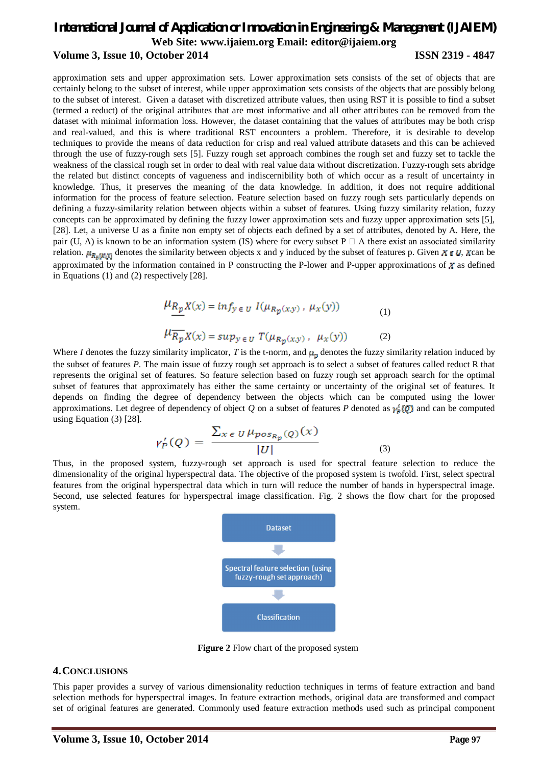#### *International Journal of Application or Innovation in Engineering & Management (IJAIEM)* **Web Site: www.ijaiem.org Email: editor@ijaiem.org Volume 3, Issue 10, October 2014 ISSN 2319 - 4847**

approximation sets and upper approximation sets. Lower approximation sets consists of the set of objects that are certainly belong to the subset of interest, while upper approximation sets consists of the objects that are possibly belong to the subset of interest. Given a dataset with discretized attribute values, then using RST it is possible to find a subset (termed a reduct) of the original attributes that are most informative and all other attributes can be removed from the dataset with minimal information loss. However, the dataset containing that the values of attributes may be both crisp and real-valued, and this is where traditional RST encounters a problem. Therefore, it is desirable to develop techniques to provide the means of data reduction for crisp and real valued attribute datasets and this can be achieved through the use of fuzzy-rough sets [5]. Fuzzy rough set approach combines the rough set and fuzzy set to tackle the weakness of the classical rough set in order to deal with real value data without discretization. Fuzzy-rough sets abridge the related but distinct concepts of vagueness and indiscernibility both of which occur as a result of uncertainty in knowledge. Thus, it preserves the meaning of the data knowledge. In addition, it does not require additional information for the process of feature selection. Feature selection based on fuzzy rough sets particularly depends on defining a fuzzy-similarity relation between objects within a subset of features. Using fuzzy similarity relation, fuzzy concepts can be approximated by defining the fuzzy lower approximation sets and fuzzy upper approximation sets [5], [28]. Let, a universe U as a finite non empty set of objects each defined by a set of attributes, denoted by A. Here, the pair (U, A) is known to be an information system (IS) where for every subset P  $\Box$  A there exist an associated similarity relation.  $\mu_{R_n(x,y)}$  denotes the similarity between objects x and y induced by the subset of features p. Given  $X \in U$ , X can be approximated by the information contained in P constructing the P-lower and P-upper approximations of  $x$  as defined in Equations (1) and (2) respectively [28].

$$
\mu_{\underline{R}_{\underline{p}}} \chi(x) = \inf_{y \in U} I(\mu_{R_{\underline{p}}(x,y)}, \mu_x(y))
$$
\n
$$
\mu_{\overline{R}_{\underline{p}}} \chi(x) = \sup_{y \in U} T(\mu_{R_{\underline{p}}(x,y)}, \mu_x(y))
$$
\n(2)

Where *I* denotes the fuzzy similarity implicator, *T* is the t-norm, and  $\mu_p$  denotes the fuzzy similarity relation induced by the subset of features *P*. The main issue of fuzzy rough set approach is to select a subset of features called reduct R that represents the original set of features. So feature selection based on fuzzy rough set approach search for the optimal subset of features that approximately has either the same certainty or uncertainty of the original set of features. It depends on finding the degree of dependency between the objects which can be computed using the lower approximations. Let degree of dependency of object *Q* on a subset of features *P* denoted as  $\gamma^{\mathsf{c}}_{\mathsf{z}}(Q)$  and can be computed using Equation (3) [28].

$$
\gamma_P'(Q) = \frac{\sum_{x \in U} \mu_{pos_{R_p}(Q)}(x)}{|U|} \tag{3}
$$

Thus, in the proposed system, fuzzy-rough set approach is used for spectral feature selection to reduce the dimensionality of the original hyperspectral data. The objective of the proposed system is twofold. First, select spectral features from the original hyperspectral data which in turn will reduce the number of bands in hyperspectral image. Second, use selected features for hyperspectral image classification. Fig. 2 shows the flow chart for the proposed system.



**Figure 2** Flow chart of the proposed system

#### **4.CONCLUSIONS**

This paper provides a survey of various dimensionality reduction techniques in terms of feature extraction and band selection methods for hyperspectral images. In feature extraction methods, original data are transformed and compact set of original features are generated. Commonly used feature extraction methods used such as principal component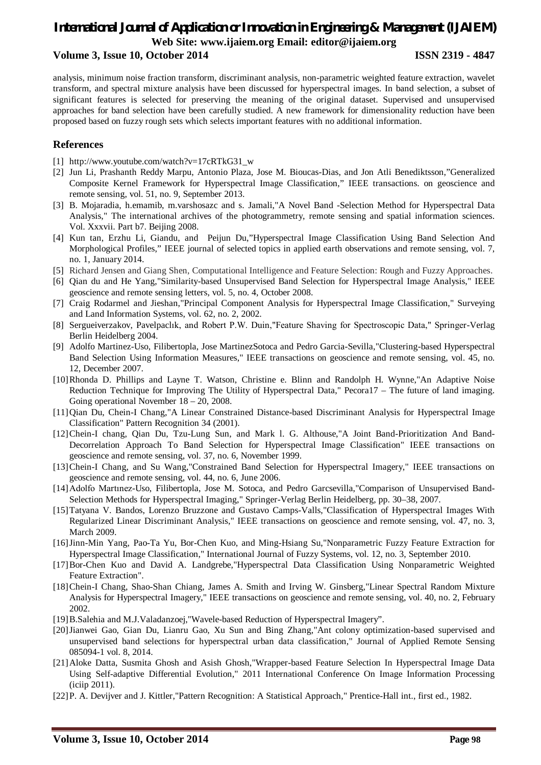#### **Volume 3, Issue 10, October 2014 ISSN 2319 - 4847**

analysis, minimum noise fraction transform, discriminant analysis, non-parametric weighted feature extraction, wavelet transform, and spectral mixture analysis have been discussed for hyperspectral images. In band selection, a subset of significant features is selected for preserving the meaning of the original dataset. Supervised and unsupervised approaches for band selection have been carefully studied. A new framework for dimensionality reduction have been proposed based on fuzzy rough sets which selects important features with no additional information.

#### **References**

- [1] http://www.youtube.com/watch?v=17cRTkG31\_w
- [2] Jun Li, Prashanth Reddy Marpu, Antonio Plaza, Jose M. Bioucas-Dias, and Jon Atli Benediktsson,"Generalized Composite Kernel Framework for Hyperspectral Image Classification," IEEE transactions. on geoscience and remote sensing, vol. 51, no. 9, September 2013.
- [3] B. Mojaradia, h.emamib, m.varshosazc and s. Jamali,"A Novel Band -Selection Method for Hyperspectral Data Analysis," The international archives of the photogrammetry, remote sensing and spatial information sciences. Vol. Xxxvii. Part b7. Beijing 2008.
- [4] Kun tan, Erzhu Li, Giandu, and Peijun Du,"Hyperspectral Image Classification Using Band Selection And Morphological Profiles," IEEE journal of selected topics in applied earth observations and remote sensing, vol. 7, no. 1, January 2014.
- [5] Richard Jensen and Giang Shen, Computational Intelligence and Feature Selection: Rough and Fuzzy Approaches.
- [6] Qian du and He Yang,"Similarity-based Unsupervised Band Selection for Hyperspectral Image Analysis," IEEE geoscience and remote sensing letters, vol. 5, no. 4, October 2008.
- [7] Craig Rodarmel and Jieshan,"Principal Component Analysis for Hyperspectral Image Classification," Surveying and Land Information Systems, vol. 62, no. 2, 2002.
- [8] Sergueiverzakov, Pavelpaclık, and Robert P.W. Duin,"Feature Shaving for Spectroscopic Data," Springer-Verlag Berlin Heidelberg 2004.
- [9] Adolfo Martinez-Uso, Filibertopla, Jose MartinezSotoca and Pedro Garcia-Sevilla,"Clustering-based Hyperspectral Band Selection Using Information Measures," IEEE transactions on geoscience and remote sensing, vol. 45, no. 12, December 2007.
- [10]Rhonda D. Phillips and Layne T. Watson, Christine e. Blinn and Randolph H. Wynne,"An Adaptive Noise Reduction Technique for Improving The Utility of Hyperspectral Data," Pecora17 – The future of land imaging. Going operational November 18 – 20, 2008.
- [11]Qian Du, Chein-I Chang,"A Linear Constrained Distance-based Discriminant Analysis for Hyperspectral Image Classification" Pattern Recognition 34 (2001).
- [12]Chein-I chang, Qian Du, Tzu-Lung Sun, and Mark l. G. Althouse,"A Joint Band-Prioritization And Band-Decorrelation Approach To Band Selection for Hyperspectral Image Classification" IEEE transactions on geoscience and remote sensing, vol. 37, no. 6, November 1999.
- [13]Chein-I Chang, and Su Wang,"Constrained Band Selection for Hyperspectral Imagery," IEEE transactions on geoscience and remote sensing, vol. 44, no. 6, June 2006.
- [14]Adolfo Martınez-Uso, Filibertopla, Jose M. Sotoca, and Pedro Garcsevilla,"Comparison of Unsupervised Band-Selection Methods for Hyperspectral Imaging," Springer-Verlag Berlin Heidelberg, pp. 30–38, 2007.
- [15]Tatyana V. Bandos, Lorenzo Bruzzone and Gustavo Camps-Valls,"Classification of Hyperspectral Images With Regularized Linear Discriminant Analysis," IEEE transactions on geoscience and remote sensing, vol. 47, no. 3, March 2009.
- [16]Jinn-Min Yang, Pao-Ta Yu, Bor-Chen Kuo, and Ming-Hsiang Su,"Nonparametric Fuzzy Feature Extraction for Hyperspectral Image Classification," International Journal of Fuzzy Systems, vol. 12, no. 3, September 2010.
- [17]Bor-Chen Kuo and David A. Landgrebe,"Hyperspectral Data Classification Using Nonparametric Weighted Feature Extraction".
- [18]Chein-I Chang, Shao-Shan Chiang, James A. Smith and Irving W. Ginsberg,"Linear Spectral Random Mixture Analysis for Hyperspectral Imagery," IEEE transactions on geoscience and remote sensing, vol. 40, no. 2, February 2002.
- [19]B.Salehia and M.J.Valadanzoej,"Wavele-based Reduction of Hyperspectral Imagery".
- [20]Jianwei Gao, Gian Du, Lianru Gao, Xu Sun and Bing Zhang,"Ant colony optimization-based supervised and unsupervised band selections for hyperspectral urban data classification," Journal of Applied Remote Sensing 085094-1 vol. 8, 2014.
- [21]Aloke Datta, Susmita Ghosh and Asish Ghosh,"Wrapper-based Feature Selection In Hyperspectral Image Data Using Self-adaptive Differential Evolution," 2011 International Conference On Image Information Processing (iciip 2011).
- [22]P. A. Devijver and J. Kittler,"Pattern Recognition: A Statistical Approach," Prentice-Hall int., first ed., 1982.